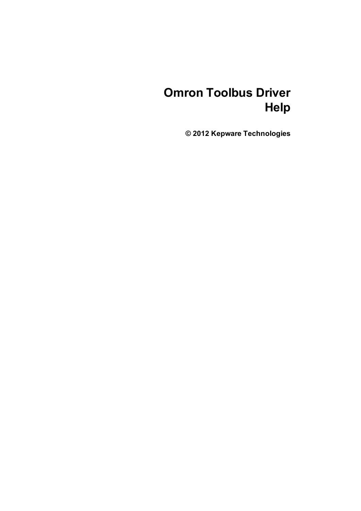# **Omron Toolbus Driver Help**

**© 2012 Kepware Technologies**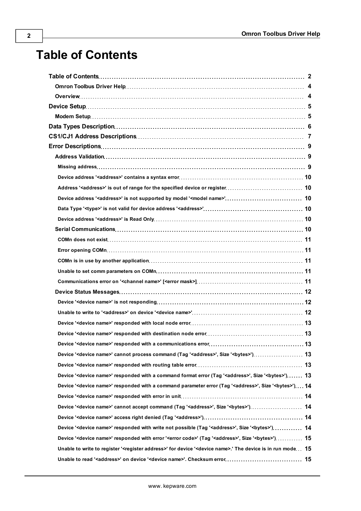## <span id="page-1-0"></span>**Table of Contents**

| 13                                                                                                                                       |  |
|------------------------------------------------------------------------------------------------------------------------------------------|--|
|                                                                                                                                          |  |
|                                                                                                                                          |  |
| Device ' <device name="">' responded with a command format error (Tag '<address>', Size '<br/>bytes&gt;') 13</address></device>          |  |
| Device ' <device name="">' responded with a command parameter error (Tag '<address>', Size '<br/>bytes&gt;') 14</address></device>       |  |
|                                                                                                                                          |  |
|                                                                                                                                          |  |
|                                                                                                                                          |  |
| Device ' <device name="">' responded with write not possible (Tag '<address>', Size '<br/>bytes&gt;') 14</address></device>              |  |
| Device ' <device name="">' responded with error '<error code="">' (Tag '<address>', Size '<br/>bytes&gt;') 15</address></error></device> |  |
| Unable to write to register ' <register address="">' for device '<device name="">.' The device is in run mode 15</device></register>     |  |
|                                                                                                                                          |  |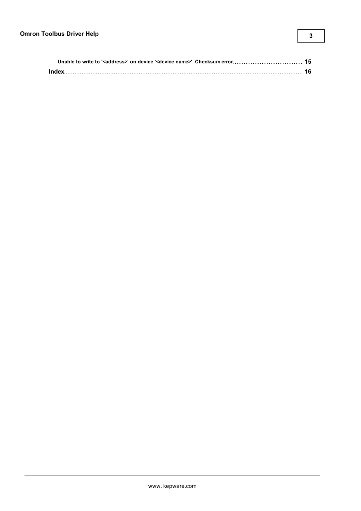| Index |  |
|-------|--|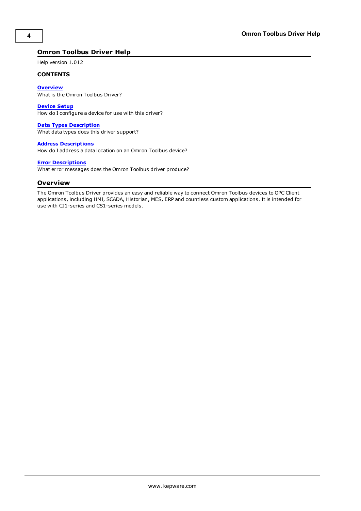#### <span id="page-3-0"></span>**Omron Toolbus Driver Help**

Help version 1.012

#### **CONTENTS**

**[Overview](#page-3-1)** What is the Omron Toolbus Driver?

**[Device](#page-4-0) [Setup](#page-4-0)** How do I configure a device for use with this driver?

**[Data](#page-5-0) [Types](#page-5-0) [Description](#page-5-0)** What data types does this driver support?

**[Address](#page-6-0) [Descriptions](#page-6-0)** How do I address a data location on an Omron Toolbus device?

#### **[Error](#page-8-0) [Descriptions](#page-8-0)**

<span id="page-3-1"></span>What error messages does the Omron Toolbus driver produce?

#### **Overview**

The Omron Toolbus Driver provides an easy and reliable way to connect Omron Toolbus devices to OPC Client applications, including HMI, SCADA, Historian, MES, ERP and countless custom applications. It is intended for use with CJ1-series and CS1-series models.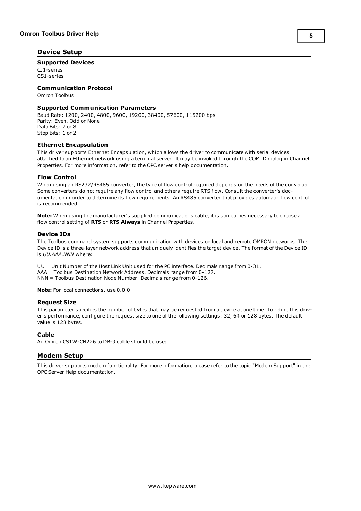#### <span id="page-4-4"></span><span id="page-4-0"></span>**Device Setup**

#### **Supported Devices**

CJ1-series CS1-series

#### **Communication Protocol**

Omron Toolbus

#### **Supported Communication Parameters**

Baud Rate: 1200, 2400, 4800, 9600, 19200, 38400, 57600, 115200 bps Parity: Even, Odd or None Data Bits: 7 or 8 Stop Bits: 1 or 2

#### <span id="page-4-3"></span>**Ethernet Encapsulation**

This driver supports Ethernet Encapsulation, which allows the driver to communicate with serial devices attached to an Ethernet network using a terminal server. It may be invoked through the COM ID dialog in Channel Properties. For more information, refer to the OPC server's help documentation.

#### **Flow Control**

When using an RS232/RS485 converter, the type of flow control required depends on the needs of the converter. Some converters do not require any flow control and others require RTS flow. Consult the converter's documentation in order to determine its flow requirements. An RS485 converter that provides automatic flow control is recommended.

**Note:** When using the manufacturer's supplied communications cable, it is sometimes necessary to choose a flow control setting of **RTS** or **RTS Always** in Channel Properties.

#### <span id="page-4-2"></span>**Device IDs**

The Toolbus command system supports communication with devices on local and remote OMRON networks. The Device ID is a three-layer network address that uniquely identifies the target device. The format of the Device ID is *UU.AAA.NNN* where:

UU = Unit Number of the Host Link Unit used for the PC interface. Decimals range from 0-31. AAA = Toolbus Destination Network Address. Decimals range from 0-127. NNN = Toolbus Destination Node Number. Decimals range from 0-126.

**Note:** For local connections, use 0.0.0.

#### **Request Size**

This parameter specifies the number of bytes that may be requested from a device at one time. To refine this driver's performance, configure the request size to one of the following settings: 32, 64 or 128 bytes. The default value is 128 bytes.

#### **Cable**

<span id="page-4-1"></span>An Omron CS1W-CN226 to DB-9 cable should be used.

#### **Modem Setup**

This driver supports modem functionality. For more information, please refer to the topic "Modem Support" in the OPC Server Help documentation.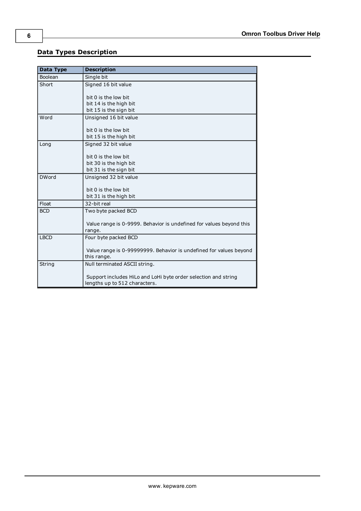## <span id="page-5-0"></span>**Data Types Description**

<span id="page-5-4"></span><span id="page-5-3"></span><span id="page-5-2"></span><span id="page-5-1"></span>

| Data Type      | <b>Description</b>                                                  |
|----------------|---------------------------------------------------------------------|
| <b>Boolean</b> | Single bit                                                          |
| Short          | Signed 16 bit value                                                 |
|                | bit 0 is the low bit                                                |
|                | bit 14 is the high bit                                              |
|                | bit 15 is the sign bit                                              |
| Word           | Unsigned 16 bit value                                               |
|                | bit 0 is the low bit                                                |
|                | bit 15 is the high bit                                              |
| Long           | Signed 32 bit value                                                 |
|                |                                                                     |
|                | bit 0 is the low bit                                                |
|                | bit 30 is the high bit                                              |
|                | bit 31 is the sign bit                                              |
| <b>DWord</b>   | Unsigned 32 bit value                                               |
|                | bit 0 is the low bit                                                |
|                | bit 31 is the high bit                                              |
| Float          | 32-bit real                                                         |
| <b>BCD</b>     | Two byte packed BCD                                                 |
|                |                                                                     |
|                | Value range is 0-9999. Behavior is undefined for values beyond this |
|                | range.                                                              |
| <b>LBCD</b>    | Four byte packed BCD                                                |
|                | Value range is 0-99999999. Behavior is undefined for values beyond  |
|                | this range.                                                         |
| String         | Null terminated ASCII string.                                       |
|                |                                                                     |
|                | Support includes HiLo and LoHi byte order selection and string      |
|                | lengths up to 512 characters.                                       |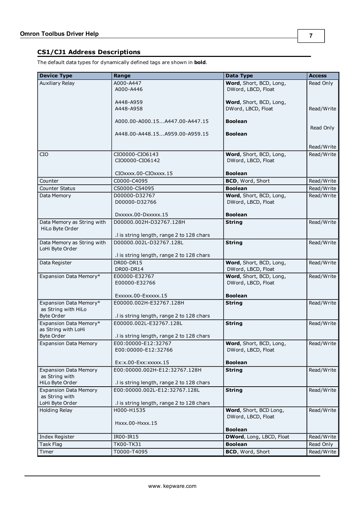<span id="page-6-0"></span>The default data types for dynamically defined tags are shown in **bold**.

| <b>Device Type</b>                            | Range                                                         | Data Type                | <b>Access</b> |
|-----------------------------------------------|---------------------------------------------------------------|--------------------------|---------------|
| <b>Auxiliary Relay</b>                        | A000-A447                                                     | Word, Short, BCD, Long,  | Read Only     |
|                                               | A000-A446                                                     | DWord, LBCD, Float       |               |
|                                               |                                                               |                          |               |
|                                               | A448-A959<br>A448-A958                                        | Word, Short, BCD, Long,  |               |
|                                               |                                                               | DWord, LBCD, Float       | Read/Write    |
|                                               | A000.00-A000.15A447.00-A447.15                                | <b>Boolean</b>           |               |
|                                               |                                                               |                          | Read Only     |
|                                               | A448.00-A448.15A959.00-A959.15                                | <b>Boolean</b>           |               |
|                                               |                                                               |                          | Read/Write    |
| CIO                                           | CIO0000-CIO6143                                               | Word, Short, BCD, Long,  | Read/Write    |
|                                               | CIO0000-CIO6142                                               | DWord, LBCD, Float       |               |
|                                               |                                                               |                          |               |
|                                               | CIOxxxx.00-CIOxxxx.15                                         | <b>Boolean</b>           |               |
| Counter                                       | C0000-C4095                                                   | <b>BCD, Word, Short</b>  | Read/Write    |
| <b>Counter Status</b>                         | CS0000-CS4095                                                 | <b>Boolean</b>           | Read/Write    |
| Data Memory                                   | D00000-D32767                                                 | Word, Short, BCD, Long,  | Read/Write    |
|                                               | D00000-D32766                                                 | DWord, LBCD, Float       |               |
|                                               | DXXXXX.00-DXXXXX.15                                           | <b>Boolean</b>           |               |
| Data Memory as String with                    | D00000.002H-D32767.128H                                       | <b>String</b>            | Read/Write    |
| HiLo Byte Order                               |                                                               |                          |               |
|                                               | .I is string length, range 2 to 128 chars                     |                          |               |
| Data Memory as String with                    | D00000.002L-D32767.128L                                       | <b>String</b>            | Read/Write    |
| LoHi Byte Order                               |                                                               |                          |               |
| Data Register                                 | .I is string length, range 2 to 128 chars<br><b>DR00-DR15</b> | Word, Short, BCD, Long,  | Read/Write    |
|                                               | DR00-DR14                                                     | DWord, LBCD, Float       |               |
| Expansion Data Memory*                        | E00000-E32767                                                 | Word, Short, BCD, Long,  | Read/Write    |
|                                               | E00000-E32766                                                 | DWord, LBCD, Float       |               |
|                                               |                                                               |                          |               |
|                                               | Exxxxx.00-Exxxxx.15                                           | <b>Boolean</b>           |               |
| Expansion Data Memory*<br>as String with HiLo | E00000.002H-E32767.128H                                       | <b>String</b>            | Read/Write    |
| <b>Byte Order</b>                             | .I is string length, range 2 to 128 chars                     |                          |               |
| Expansion Data Memory*                        | E00000.002L-E32767.128L                                       | <b>String</b>            | Read/Write    |
| as String with LoHi                           |                                                               |                          |               |
| <b>Byte Order</b>                             | .I is string length, range 2 to 128 chars                     |                          |               |
| <b>Expansion Data Memory</b>                  | E00:00000-E12:32767                                           | Word, Short, BCD, Long,  | Read/Write    |
|                                               | E00:00000-E12:32766                                           | DWord, LBCD, Float       |               |
|                                               | Ex: x.00-Exx: xxxxx.15                                        | <b>Boolean</b>           |               |
| <b>Expansion Data Memory</b>                  | E00:00000.002H-E12:32767.128H                                 | <b>String</b>            | Read/Write    |
| as String with                                |                                                               |                          |               |
| HiLo Byte Order                               | .I is string length, range 2 to 128 chars                     |                          |               |
| <b>Expansion Data Memory</b>                  | E00:00000.002L-E12:32767.128L                                 | <b>String</b>            | Read/Write    |
| as String with<br>LoHi Byte Order             | .I is string length, range 2 to 128 chars                     |                          |               |
| <b>Holding Relay</b>                          | H000-H1535                                                    | Word, Short, BCD Long,   | Read/Write    |
|                                               |                                                               | DWord, LBCD, Float       |               |
|                                               | Hxxx.00-Hxxx.15                                               |                          |               |
|                                               |                                                               | <b>Boolean</b>           |               |
| Index Register                                | IR00-IR15                                                     | DWord, Long, LBCD, Float | Read/Write    |
| Task Flag                                     | TK00-TK31                                                     | <b>Boolean</b>           | Read Only     |
| Timer                                         | T0000-T4095                                                   | BCD, Word, Short         | Read/Write    |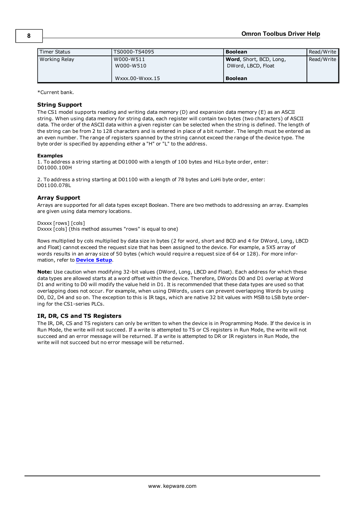| Timer Status  | TS0000-TS4095                                    | <b>Boolean</b>                                                          | Read/Write |
|---------------|--------------------------------------------------|-------------------------------------------------------------------------|------------|
| Working Relay | W000-W511<br>W000-W510<br>$W$ xxx.00- $W$ xxx.15 | <b>Word</b> , Short, BCD, Long,<br>DWord, LBCD, Float<br><b>Boolean</b> | Read/Write |

\*Current bank.

#### **String Support**

The CS1 model supports reading and writing data memory (D) and expansion data memory (E) as an ASCII string. When using data memory for string data, each register will contain two bytes (two characters) of ASCII data. The order of the ASCII data within a given register can be selected when the string is defined. The length of the string can be from 2 to 128 characters and is entered in place of a bit number. The length must be entered as an even number. The range of registers spanned by the string cannot exceed the range of the device type. The byte order is specified by appending either a "H" or "L" to the address.

#### **Examples**

1. To address a string starting at D01000 with a length of 100 bytes and HiLo byte order, enter: D01000.100H

2. To address a string starting at D01100 with a length of 78 bytes and LoHi byte order, enter: D01100.078L

#### **Array Support**

Arrays are supported for all data types except Boolean. There are two methods to addressing an array. Examples are given using data memory locations.

Dxxxx [rows] [cols] Dxxxx [cols] (this method assumes "rows" is equal to one)

Rows multiplied by cols multiplied by data size in bytes (2 for word, short and BCD and 4 for DWord, Long, LBCD and Float) cannot exceed the request size that has been assigned to the device. For example, a 5X5 array of words results in an array size of 50 bytes (which would require a request size of 64 or 128). For more information, refer to **[Device](#page-4-0) [Setup](#page-4-0)**.

**Note:** Use caution when modifying 32-bit values (DWord, Long, LBCD and Float). Each address for which these data types are allowed starts at a word offset within the device. Therefore, DWords D0 and D1 overlap at Word D1 and writing to D0 will modify the value held in D1. It is recommended that these data types are used so that overlapping does not occur. For example, when using DWords, users can prevent overlapping Words by using D0, D2, D4 and so on. The exception to this is IR tags, which are native 32 bit values with MSB to LSB byte ordering for the CS1-series PLCs.

#### **IR, DR, CS and TS Registers**

The IR, DR, CS and TS registers can only be written to when the device is in Programming Mode. If the device is in Run Mode, the write will not succeed. If a write is attempted to TS or CS registers in Run Mode, the write will not succeed and an error message will be returned. If a write is attempted to DR or IR registers in Run Mode, the write will not succeed but no error message will be returned.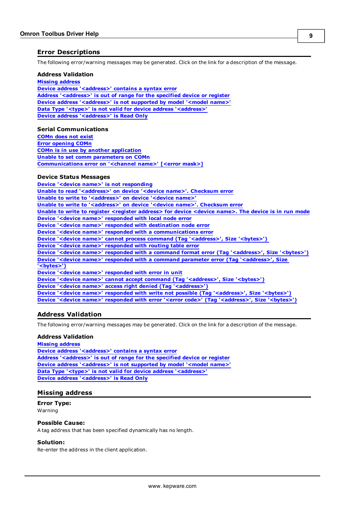#### <span id="page-8-0"></span>**Error Descriptions**

The following error/warning messages may be generated. Click on the link for a description of the message.

#### **Address Validation**

**[Missing](#page-8-2) [address](#page-8-2) [Device](#page-9-0) [address](#page-9-0) ['<address>'](#page-9-0) [contains](#page-9-0) [a](#page-9-0) [syntax](#page-9-0) [error](#page-9-0) [Address](#page-9-1) ['<address>'](#page-9-1) [is](#page-9-1) [out](#page-9-1) [of](#page-9-1) [range](#page-9-1) [for](#page-9-1) [the](#page-9-1) [specified](#page-9-1) [device](#page-9-1) [or](#page-9-1) [register](#page-9-1) [Device](#page-9-2) [address](#page-9-2) ['<address>'](#page-9-2) [is](#page-9-2) [not](#page-9-2) [supported](#page-9-2) [by](#page-9-2) [model](#page-9-2) ['<model](#page-9-2) [name>'](#page-9-2) [Data](#page-9-3) [Type](#page-9-3) ['<type>'](#page-9-3) [is](#page-9-3) [not](#page-9-3) [valid](#page-9-3) [for](#page-9-3) [device](#page-9-3) [address](#page-9-3) ['<address>'](#page-9-3) [Device](#page-9-4) [address](#page-9-4) ['<address>'](#page-9-4) [is](#page-9-4) [Read](#page-9-4) [Only](#page-9-4)** 

#### **Serial Communications**

**[COMn](#page-10-0) [does](#page-10-0) [not](#page-10-0) [exist](#page-10-0) [Error](#page-10-1) [opening](#page-10-1) [COMn](#page-10-1) [COMn](#page-10-2) [is](#page-10-2) [in](#page-10-2) [use](#page-10-2) [by](#page-10-2) [another](#page-10-2) [application](#page-10-2) [Unable](#page-10-3) [to](#page-10-3) [set](#page-10-3) [comm](#page-10-3) [parameters](#page-10-3) [on](#page-10-3) [COMn](#page-10-3) [Communications](#page-10-4) [error](#page-10-4) [on](#page-10-4) ['<channel](#page-10-4) [name>'](#page-10-4) [\[<error](#page-10-4) [mask>\]](#page-10-4)**

#### **Device Status Messages**

**[Device](#page-11-1) ['<device](#page-11-1) [name>'](#page-11-1) [is](#page-11-1) [not](#page-11-1) [responding](#page-11-1) [Unable](#page-14-2) [to](#page-14-2) [read](#page-14-2) ['<address>'](#page-14-2) [on](#page-14-2) [device](#page-14-2) ['<device](#page-14-2) [name>'.](#page-14-2) [Checksum](#page-14-2) [error](#page-14-2) [Unable](#page-11-2) [to](#page-11-2) [write](#page-11-2) [to](#page-11-2) ['<address>'](#page-11-2) [on](#page-11-2) [device](#page-11-2) ['<device](#page-11-2) [name>'](#page-11-2) [Unable](#page-14-3) [to](#page-14-3) [write](#page-14-3) [to](#page-14-3) ['<address>'](#page-14-3) [on](#page-14-3) [device](#page-14-3) ['<device](#page-14-3) [name>'.](#page-14-3) [Checksum](#page-14-3) [error](#page-14-3) [Unable](#page-14-1) [to](#page-14-1) [write](#page-14-1) [to](#page-14-1) [register](#page-14-1) [<register](#page-14-1) [address>](#page-14-1) [for](#page-14-1) [device](#page-14-1) [<device](#page-14-1) [name>.](#page-14-1) [The](#page-14-1) [device](#page-14-1) [is](#page-14-1) [in](#page-14-1) [run](#page-14-1) [mode](#page-14-1) [Device](#page-12-0) ['<device](#page-12-0) [name>'](#page-12-0) [responded](#page-12-0) [with](#page-12-0) [local](#page-12-0) [node](#page-12-0) [error](#page-12-0) [Device](#page-12-1) ['<device](#page-12-1) [name>'](#page-12-1) [responded](#page-12-1) [with](#page-12-1) [destination](#page-12-1) [node](#page-12-1) [error](#page-12-1) [Device](#page-12-2) ['<device](#page-12-2) [name>'](#page-12-2) [responded](#page-12-2) [with](#page-12-2) [a](#page-12-2) [communications](#page-12-2) [error](#page-12-2) [Device](#page-12-3) ['<device](#page-12-3) [name>'](#page-12-3) [cannot](#page-12-3) [process](#page-12-3) [command](#page-12-3) [\(Tag](#page-12-3) ['<address>',](#page-12-3) [Size](#page-12-3) ['<bytes>'\)](#page-12-3) [Device](#page-12-4) ['<device](#page-12-4) [name>'](#page-12-4) [responded](#page-12-4) [with](#page-12-4) [routing](#page-12-4) [table](#page-12-4) [error](#page-12-4) [Device](#page-12-5) ['<device](#page-12-5) [name>'](#page-12-5) [responded](#page-12-5) [with](#page-12-5) [a](#page-12-5) [command](#page-12-5) [format](#page-12-5) [error](#page-12-5) [\(Tag](#page-12-5) ['<address>',](#page-12-5) [Size](#page-12-5) ['<bytes>'\)](#page-12-5) [Device](#page-13-0) ['<device](#page-13-0) [name>'](#page-13-0) [responded](#page-13-0) [with](#page-13-0) [a](#page-13-0) [command](#page-13-0) [parameter](#page-13-0) [error](#page-13-0) [\(Tag](#page-13-0) ['<address>',](#page-13-0) [Size](#page-13-0) ['<bytes>'\)](#page-13-0) [Device](#page-13-1) ['<device](#page-13-1) [name>'](#page-13-1) [responded](#page-13-1) [with](#page-13-1) [error](#page-13-1) [in](#page-13-1) [unit](#page-13-1) [Device](#page-13-2) ['<device](#page-13-2) [name>'](#page-13-2) [cannot](#page-13-2) [accept](#page-13-2) [command](#page-13-2) [\(Tag](#page-13-2) ['<address>',](#page-13-2) [Size](#page-13-2) ['<bytes>'\)](#page-13-2) [Device](#page-13-3) ['<device](#page-13-3) [name>'](#page-13-3) [access](#page-13-3) [right](#page-13-3) [denied](#page-13-3) [\(Tag](#page-13-3) ['<address>'\)](#page-13-3) [Device](#page-13-4) ['<device](#page-13-4) [name>'](#page-13-4) [responded](#page-13-4) [with](#page-13-4) [write](#page-13-4) [not](#page-13-4) [possible](#page-13-4) [\(Tag](#page-13-4) ['<address>',](#page-13-4) [Size](#page-13-4) ['<bytes>'\)](#page-13-4) [Device](#page-14-0) ['<device](#page-14-0) [name>'](#page-14-0) [responded](#page-14-0) [with](#page-14-0) [error](#page-14-0) ['<error](#page-14-0) [code>'](#page-14-0) [\(Tag](#page-14-0) ['<address>',](#page-14-0) [Size](#page-14-0) ['<bytes>'\)](#page-14-0)**

#### <span id="page-8-1"></span>**Address Validation**

The following error/warning messages may be generated. Click on the link for a description of the message.

#### **Address Validation**

**[Missing](#page-8-2) [address](#page-8-2) [Device](#page-9-0) [address](#page-9-0) ['<address>'](#page-9-0) [contains](#page-9-0) [a](#page-9-0) [syntax](#page-9-0) [error](#page-9-0) [Address](#page-9-1) ['<address>'](#page-9-1) [is](#page-9-1) [out](#page-9-1) [of](#page-9-1) [range](#page-9-1) [for](#page-9-1) [the](#page-9-1) [specified](#page-9-1) [device](#page-9-1) [or](#page-9-1) [register](#page-9-1) [Device](#page-9-2) [address](#page-9-2) ['<address>'](#page-9-2) [is](#page-9-2) [not](#page-9-2) [supported](#page-9-2) [by](#page-9-2) [model](#page-9-2) ['<model](#page-9-2) [name>'](#page-9-2) [Data](#page-9-3) [Type](#page-9-3) ['<type>'](#page-9-3) [is](#page-9-3) [not](#page-9-3) [valid](#page-9-3) [for](#page-9-3) [device](#page-9-3) [address](#page-9-3) ['<address>'](#page-9-3) [Device](#page-9-4) [address](#page-9-4) ['<address>'](#page-9-4) [is](#page-9-4) [Read](#page-9-4) [Only](#page-9-4)** 

#### <span id="page-8-2"></span>**Missing address**

**Error Type:** Warning

#### **Possible Cause:**

A tag address that has been specified dynamically has no length.

#### **Solution:**

Re-enter the address in the client application.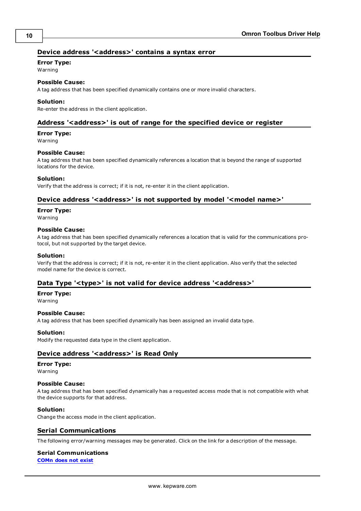#### <span id="page-9-0"></span>Device address '<address>' contains a syntax error

#### **Error Type:**

Warning

## **Possible Cause:**

A tag address that has been specified dynamically contains one or more invalid characters.

#### **Solution:**

<span id="page-9-1"></span>Re-enter the address in the client application.

#### **Address '<address>' is out of range for the specified device or register**

#### **Error Type:**

Warning

#### **Possible Cause:**

A tag address that has been specified dynamically references a location that is beyond the range of supported locations for the device.

#### **Solution:**

<span id="page-9-2"></span>Verify that the address is correct; if it is not, re-enter it in the client application.

#### Device address '<address>' is not supported by model '<model name>'

#### **Error Type:**

Warning

#### **Possible Cause:**

A tag address that has been specified dynamically references a location that is valid for the communications protocol, but not supported by the target device.

#### **Solution:**

Verify that the address is correct; if it is not, re-enter it in the client application. Also verify that the selected model name for the device is correct.

#### <span id="page-9-3"></span>Data Type '<type>' is not valid for device address '<address>'

#### **Error Type:**

Warning

#### **Possible Cause:**

A tag address that has been specified dynamically has been assigned an invalid data type.

#### **Solution:**

<span id="page-9-4"></span>Modify the requested data type in the client application.

#### **Device address '<address>' is Read Only**

#### **Error Type:**

Warning

#### **Possible Cause:**

A tag address that has been specified dynamically has a requested access mode that is not compatible with what the device supports for that address.

#### **Solution:**

<span id="page-9-5"></span>Change the access mode in the client application.

#### **Serial Communications**

The following error/warning messages may be generated. Click on the link for a description of the message.

## **Serial Communications**

**[COMn](#page-10-0) [does](#page-10-0) [not](#page-10-0) [exist](#page-10-0)**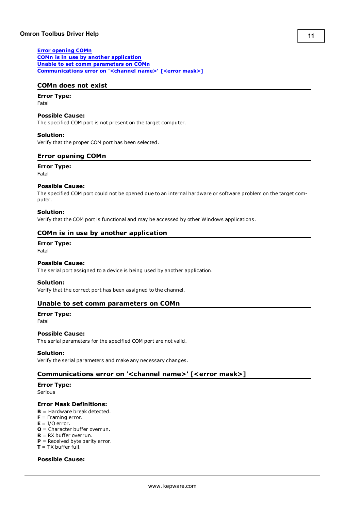**[Error](#page-10-1) [opening](#page-10-1) [COMn](#page-10-1) [COMn](#page-10-2) [is](#page-10-2) [in](#page-10-2) [use](#page-10-2) [by](#page-10-2) [another](#page-10-2) [application](#page-10-2) [Unable](#page-10-3) [to](#page-10-3) [set](#page-10-3) [comm](#page-10-3) [parameters](#page-10-3) [on](#page-10-3) [COMn](#page-10-3) [Communications](#page-10-4) [error](#page-10-4) [on](#page-10-4) ['<channel](#page-10-4) [name>'](#page-10-4) [\[<error](#page-10-4) [mask>\]](#page-10-4)**

#### <span id="page-10-0"></span>**COMn does not exist**

## **Error Type:**

Fatal

#### **Possible Cause:**

The specified COM port is not present on the target computer.

#### **Solution:**

<span id="page-10-1"></span>Verify that the proper COM port has been selected.

#### **Error opening COMn**

**Error Type:** Fatal

#### **Possible Cause:**

The specified COM port could not be opened due to an internal hardware or software problem on the target computer.

#### **Solution:**

<span id="page-10-2"></span>Verify that the COM port is functional and may be accessed by other Windows applications.

#### **COMn is in use by another application**

#### **Error Type:**

Fatal

#### **Possible Cause:**

The serial port assigned to a device is being used by another application.

#### **Solution:**

<span id="page-10-3"></span>Verify that the correct port has been assigned to the channel.

#### **Unable to set comm parameters on COMn**

### **Error Type:**

Fatal

#### **Possible Cause:**

The serial parameters for the specified COM port are not valid.

#### **Solution:**

<span id="page-10-4"></span>Verify the serial parameters and make any necessary changes.

#### **Communications error on '<channel name>' [<error mask>]**

#### **Error Type:**

Serious

#### **Error Mask Definitions:**

- <span id="page-10-5"></span>**B** = Hardware break detected.
- **F** = Framing error.
- <span id="page-10-6"></span> $E = I/O$  error.
- **O** = Character buffer overrun.
- <span id="page-10-7"></span>**R** = RX buffer overrun.
- **P** = Received byte parity error.
- **T** = TX buffer full.

#### **Possible Cause:**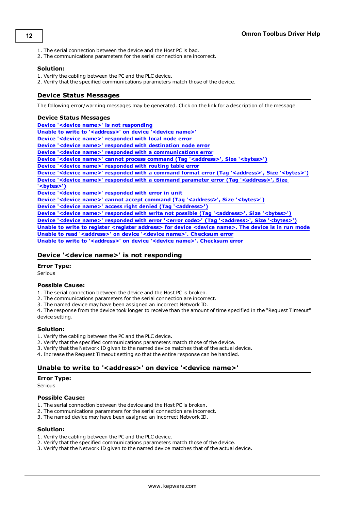- 1. The serial connection between the device and the Host PC is bad.
- 2. The communications parameters for the serial connection are incorrect.

#### **Solution:**

- 1. Verify the cabling between the PC and the PLC device.
- <span id="page-11-0"></span>2. Verify that the specified communications parameters match those of the device.

#### **Device Status Messages**

The following error/warning messages may be generated. Click on the link for a description of the message.

#### **Device Status Messages**

**[Device](#page-11-1) ['<device](#page-11-1) [name>'](#page-11-1) [is](#page-11-1) [not](#page-11-1) [responding](#page-11-1) [Unable](#page-11-2) [to](#page-11-2) [write](#page-11-2) [to](#page-11-2) ['<address>'](#page-11-2) [on](#page-11-2) [device](#page-11-2) ['<device](#page-11-2) [name>'](#page-11-2) [Device](#page-12-0) ['<device](#page-12-0) [name>'](#page-12-0) [responded](#page-12-0) [with](#page-12-0) [local](#page-12-0) [node](#page-12-0) [error](#page-12-0) [Device](#page-12-1) ['<device](#page-12-1) [name>'](#page-12-1) [responded](#page-12-1) [with](#page-12-1) [destination](#page-12-1) [node](#page-12-1) [error](#page-12-1) [Device](#page-12-2) ['<device](#page-12-2) [name>'](#page-12-2) [responded](#page-12-2) [with](#page-12-2) [a](#page-12-2) [communications](#page-12-2) [error](#page-12-2) [Device](#page-12-3) ['<device](#page-12-3) [name>'](#page-12-3) [cannot](#page-12-3) [process](#page-12-3) [command](#page-12-3) [\(Tag](#page-12-3) ['<address>',](#page-12-3) [Size](#page-12-3) ['<bytes>'\)](#page-12-3) [Device](#page-12-4) ['<device](#page-12-4) [name>'](#page-12-4) [responded](#page-12-4) [with](#page-12-4) [routing](#page-12-4) [table](#page-12-4) [error](#page-12-4) [Device](#page-12-5) ['<device](#page-12-5) [name>'](#page-12-5) [responded](#page-12-5) [with](#page-12-5) [a](#page-12-5) [command](#page-12-5) [format](#page-12-5) [error](#page-12-5) [\(Tag](#page-12-5) ['<address>',](#page-12-5) [Size](#page-12-5) ['<bytes>'\)](#page-12-5) [Device](#page-13-0) ['<device](#page-13-0) [name>'](#page-13-0) [responded](#page-13-0) [with](#page-13-0) [a](#page-13-0) [command](#page-13-0) [parameter](#page-13-0) [error](#page-13-0) [\(Tag](#page-13-0) ['<address>',](#page-13-0) [Size](#page-13-0) ['<bytes>'\)](#page-13-0) [Device](#page-13-1) ['<device](#page-13-1) [name>'](#page-13-1) [responded](#page-13-1) [with](#page-13-1) [error](#page-13-1) [in](#page-13-1) [unit](#page-13-1) [Device](#page-13-2) ['<device](#page-13-2) [name>'](#page-13-2) [cannot](#page-13-2) [accept](#page-13-2) [command](#page-13-2) [\(Tag](#page-13-2) ['<address>',](#page-13-2) [Size](#page-13-2) ['<bytes>'\)](#page-13-2) [Device](#page-13-3) ['<device](#page-13-3) [name>'](#page-13-3) [access](#page-13-3) [right](#page-13-3) [denied](#page-13-3) [\(Tag](#page-13-3) ['<address>'\)](#page-13-3) [Device](#page-13-4) ['<device](#page-13-4) [name>'](#page-13-4) [responded](#page-13-4) [with](#page-13-4) [write](#page-13-4) [not](#page-13-4) [possible](#page-13-4) [\(Tag](#page-13-4) ['<address>',](#page-13-4) [Size](#page-13-4) ['<bytes>'\)](#page-13-4) [Device](#page-14-0) ['<device](#page-14-0) [name>'](#page-14-0) [responded](#page-14-0) [with](#page-14-0) [error](#page-14-0) ['<error](#page-14-0) [code>'](#page-14-0) [\(Tag](#page-14-0) ['<address>',](#page-14-0) [Size](#page-14-0) ['<bytes>'\)](#page-14-0) [Unable](#page-14-1) [to](#page-14-1) [write](#page-14-1) [to](#page-14-1) [register](#page-14-1) [<register](#page-14-1) [address>](#page-14-1) [for](#page-14-1) [device](#page-14-1) [<device](#page-14-1) [name>.](#page-14-1) [The](#page-14-1) [device](#page-14-1) [is](#page-14-1) [in](#page-14-1) [run](#page-14-1) [mode](#page-14-1) [Unable](#page-14-2) [to](#page-14-2) [read](#page-14-2) ['<address>'](#page-14-2) [on](#page-14-2) [device](#page-14-2) ['<device](#page-14-2) [name>'.](#page-14-2) [Checksum](#page-14-2) [error](#page-14-2) [Unable](#page-14-3) [to](#page-14-3) [write](#page-14-3) [to](#page-14-3) ['<address>'](#page-14-3) [on](#page-14-3) [device](#page-14-3) ['<device](#page-14-3) [name>'.](#page-14-3) [Checksum](#page-14-3) [error](#page-14-3)**

#### <span id="page-11-1"></span>**Device '<device name>' is not responding**

#### **Error Type:**

Serious

#### **Possible Cause:**

1. The serial connection between the device and the Host PC is broken.

- 2. The communications parameters for the serial connection are incorrect.
- 3. The named device may have been assigned an incorrect Network ID.

4. The response from the device took longer to receive than the amount of time specified in the "Request Timeout" device setting.

#### **Solution:**

- 1. Verify the cabling between the PC and the PLC device.
- 2. Verify that the specified communications parameters match those of the device.
- 3. Verify that the Network ID given to the named device matches that of the actual device.
- <span id="page-11-2"></span>4. Increase the Request Timeout setting so that the entire response can be handled.

#### Unable to write to '<address>' on device '<device name>'

#### **Error Type:**

**Serious** 

#### **Possible Cause:**

- 1. The serial connection between the device and the Host PC is broken.
- 2. The communications parameters for the serial connection are incorrect.
- 3. The named device may have been assigned an incorrect Network ID.

#### **Solution:**

- 1. Verify the cabling between the PC and the PLC device.
- 2. Verify that the specified communications parameters match those of the device.
- 3. Verify that the Network ID given to the named device matches that of the actual device.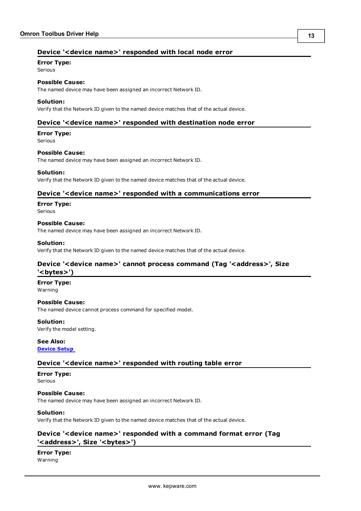### <span id="page-12-0"></span>**Device '<device name>' responded with local node error**

#### **Error Type:**

Serious

## **Possible Cause:**

The named device may have been assigned an incorrect Network ID.

#### **Solution:**

<span id="page-12-1"></span>Verify that the Network ID given to the named device matches that of the actual device.

#### **Device '<device name>' responded with destination node error**

#### **Error Type:**

Serious

#### **Possible Cause:**

The named device may have been assigned an incorrect Network ID.

#### **Solution:**

<span id="page-12-2"></span>Verify that the Network ID given to the named device matches that of the actual device.

#### **Device '<device name>' responded with a communications error**

## **Error Type:**

Serious

#### **Possible Cause:**

The named device may have been assigned an incorrect Network ID.

#### **Solution:**

<span id="page-12-3"></span>Verify that the Network ID given to the named device matches that of the actual device.

#### Device '<device name>' cannot process command (Tag '<address>', Size **'<bytes>')**

#### **Error Type:**

Warning

#### **Possible Cause:**

The named device cannot process command for specified model.

#### **Solution:**

Verify the model setting.

#### **See Also: [Device](#page-4-0) [Setup](#page-4-0)**

#### <span id="page-12-4"></span>**Device '<device name>' responded with routing table error**

#### **Error Type:** Serious

#### **Possible Cause:**

The named device may have been assigned an incorrect Network ID.

#### **Solution:**

<span id="page-12-5"></span>Verify that the Network ID given to the named device matches that of the actual device.

#### **Device '<device name>' responded with a command format error (Tag** '<address>', Size '<br/>bytes>')

### **Error Type:**

Warning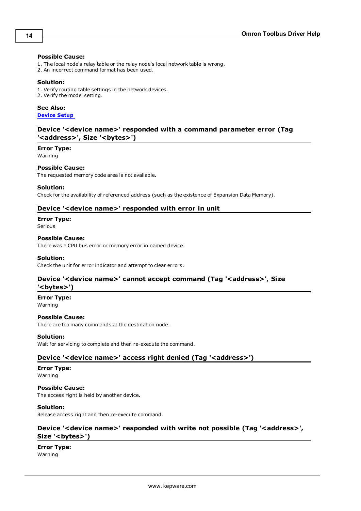#### **Possible Cause:**

- 1. The local node's relay table or the relay node's local network table is wrong.
- 2. An incorrect command format has been used.

#### **Solution:**

- 1. Verify routing table settings in the network devices.
- 2. Verify the model setting.

#### **See Also:**

<span id="page-13-0"></span>**[Device](#page-4-0) [Setup](#page-4-0)**

#### **Device '<device name>' responded with a command parameter error (Tag** '<address>', Size '<br/>bytes>')

#### **Error Type:**

Warning

**Possible Cause:** The requested memory code area is not available.

#### **Solution:**

<span id="page-13-1"></span>Check for the availability of referenced address (such as the existence of Expansion Data Memory).

#### **Device '<device name>' responded with error in unit**

## **Error Type:**

Serious

#### **Possible Cause:**

There was a CPU bus error or memory error in named device.

#### **Solution:**

<span id="page-13-2"></span>Check the unit for error indicator and attempt to clear errors.

#### Device '<device name>' cannot accept command (Tag '<address>', Size **'<bytes>')**

**Error Type:**

Warning

### **Possible Cause:**

There are too many commands at the destination node.

#### **Solution:**

<span id="page-13-3"></span>Wait for servicing to complete and then re-execute the command.

#### Device '<device name>' access right denied (Tag '<address>')

## **Error Type:**

Warning

**Possible Cause:** The access right is held by another device.

#### **Solution:**

<span id="page-13-4"></span>Release access right and then re-execute command.

#### Device '<device name>' responded with write not possible (Tag '<address>', Size '<br/>bytes>')

#### **Error Type:** Warning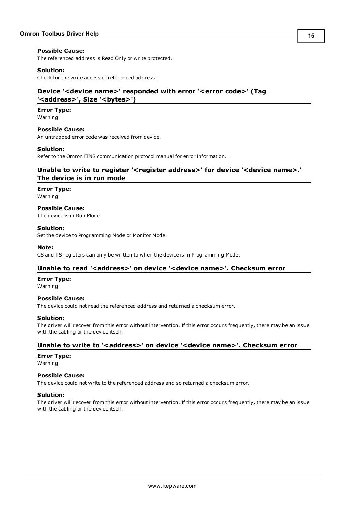#### **Possible Cause:**

The referenced address is Read Only or write protected.

#### **Solution:**

<span id="page-14-0"></span>Check for the write access of referenced address.

#### **Device '<device name>' responded with error '<error code>' (Tag** '<address>', Size '<br/>bytes>')

#### **Error Type:**

Warning

## **Possible Cause:**

An untrapped error code was received from device.

#### **Solution:**

<span id="page-14-1"></span>Refer to the Omron FINS communication protocol manual for error information.

#### **Unable to write to register '<register address>' for device '<device name>.' The device is in run mode**

#### **Error Type:**

Warning

## **Possible Cause:**

The device is in Run Mode.

#### **Solution:**

Set the device to Programming Mode or Monitor Mode.

#### **Note:**

<span id="page-14-2"></span>CS and TS registers can only be written to when the device is in Programming Mode.

#### Unable to read '<address>' on device '<device name>'. Checksum error

#### **Error Type:**

Warning

#### **Possible Cause:**

The device could not read the referenced address and returned a checksum error.

#### **Solution:**

The driver will recover from this error without intervention. If this error occurs frequently, there may be an issue with the cabling or the device itself.

#### <span id="page-14-3"></span>**Unable to write to '<address>' on device '<device name>'. Checksum error**

#### **Error Type:**

Warning

#### **Possible Cause:**

The device could not write to the referenced address and so returned a checksum error.

#### **Solution:**

The driver will recover from this error without intervention. If this error occurs frequently, there may be an issue with the cabling or the device itself.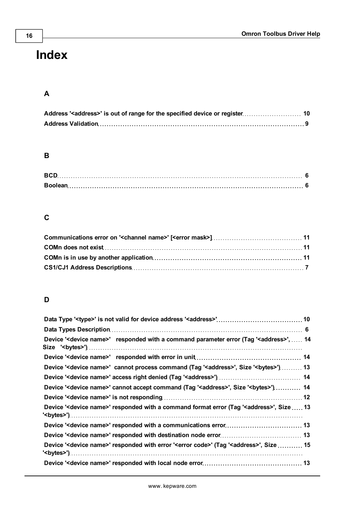## <span id="page-15-0"></span>**Index**

## **A**

## **B**

| <b>BCD</b> |  |
|------------|--|
|            |  |

## **C**

## **D**

| Device ' <device name="">' responded with a command parameter error (Tag '<address>',  14</address></device>            |  |
|-------------------------------------------------------------------------------------------------------------------------|--|
|                                                                                                                         |  |
| Device ' <device name="">' cannot process command (Tag '<address>', Size '<br/>bytes&gt;') 13</address></device>        |  |
|                                                                                                                         |  |
| Device ' <device name="">' cannot accept command (Tag '<address>', Size '<br/>bytes&gt;') 14</address></device>         |  |
|                                                                                                                         |  |
| Device ' <device name="">' responded with a command format error (Tag '<address>', Size  13</address></device>          |  |
|                                                                                                                         |  |
|                                                                                                                         |  |
| Device ' <device name="">' responded with error '<error code="">' (Tag '<address>', Size  15</address></error></device> |  |
|                                                                                                                         |  |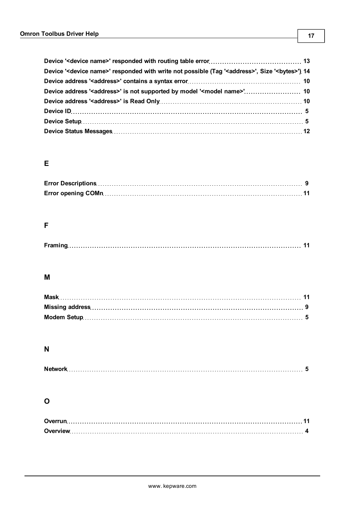| Device ' <device name="">' responded with write not possible (Tag '<address>', Size '<br/>bytes&gt;') 14</address></device> |  |
|-----------------------------------------------------------------------------------------------------------------------------|--|
|                                                                                                                             |  |
| Device address ' <address>' is not supported by model '<model name="">' 10</model></address>                                |  |
|                                                                                                                             |  |
|                                                                                                                             |  |
|                                                                                                                             |  |
|                                                                                                                             |  |

## **E**

## **F**

|--|

## **M**

## **N**

## **O**